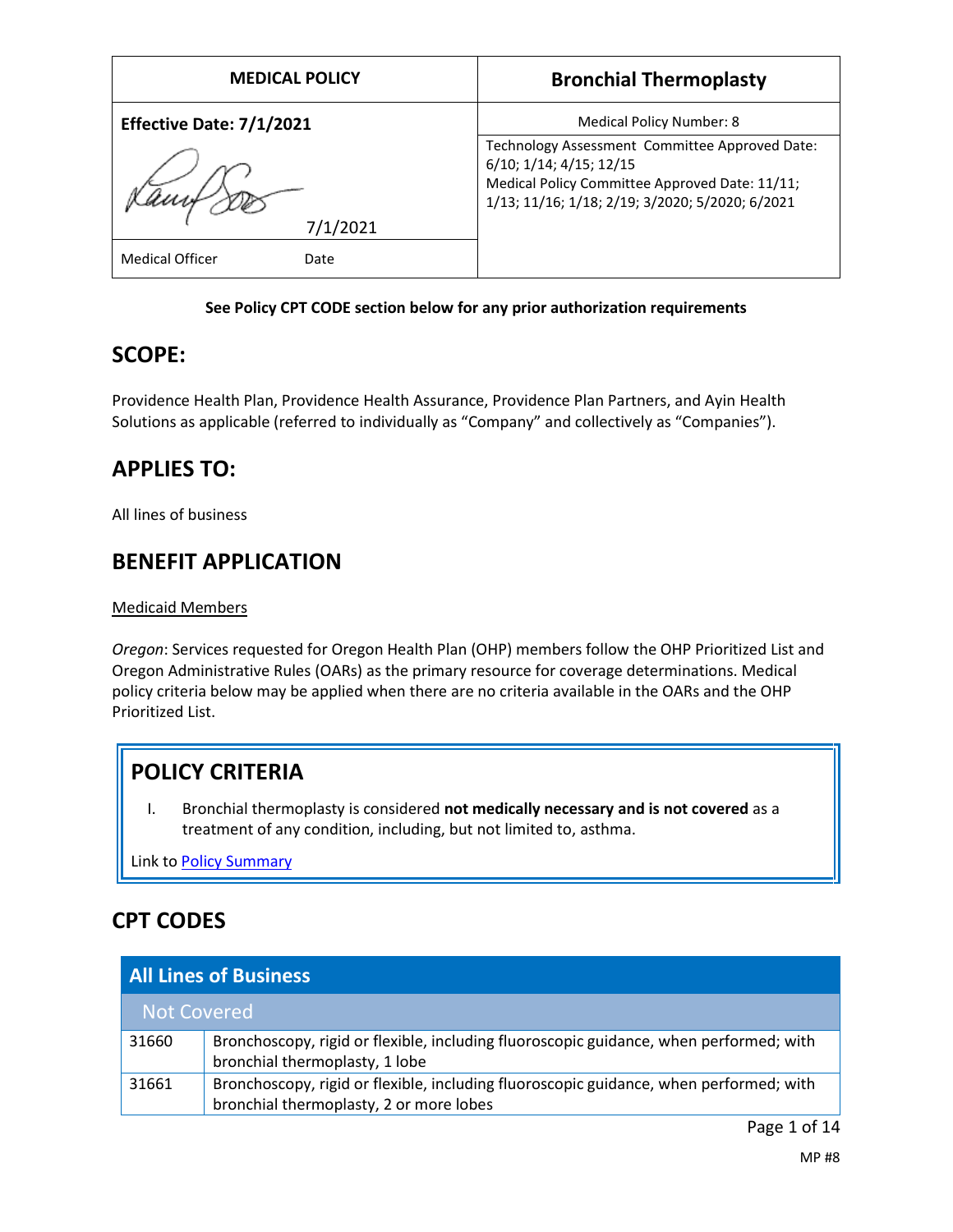| <b>MEDICAL POLICY</b>          | <b>Bronchial Thermoplasty</b>                                                                                                                                                  |
|--------------------------------|--------------------------------------------------------------------------------------------------------------------------------------------------------------------------------|
| Effective Date: 7/1/2021       | Medical Policy Number: 8                                                                                                                                                       |
|                                | Technology Assessment Committee Approved Date:<br>6/10; 1/14; 4/15; 12/15<br>Medical Policy Committee Approved Date: 11/11;<br>1/13; 11/16; 1/18; 2/19; 3/2020; 5/2020; 6/2021 |
| 7/1/2021                       |                                                                                                                                                                                |
| <b>Medical Officer</b><br>Date |                                                                                                                                                                                |

### **See Policy CPT CODE section below for any prior authorization requirements**

## **SCOPE:**

Providence Health Plan, Providence Health Assurance, Providence Plan Partners, and Ayin Health Solutions as applicable (referred to individually as "Company" and collectively as "Companies").

# **APPLIES TO:**

All lines of business

# **BENEFIT APPLICATION**

#### Medicaid Members

*Oregon*: Services requested for Oregon Health Plan (OHP) members follow the OHP Prioritized List and Oregon Administrative Rules (OARs) as the primary resource for coverage determinations. Medical policy criteria below may be applied when there are no criteria available in the OARs and the OHP Prioritized List.

# **POLICY CRITERIA**

I. Bronchial thermoplasty is considered **not medically necessary and is not covered** as a treatment of any condition, including, but not limited to, asthma.

Link t[o Policy Summary](#page-9-0)

# **CPT CODES**

| <b>All Lines of Business</b> |                                                                                                                                   |  |
|------------------------------|-----------------------------------------------------------------------------------------------------------------------------------|--|
| Not Covered                  |                                                                                                                                   |  |
| 31660                        | Bronchoscopy, rigid or flexible, including fluoroscopic guidance, when performed; with<br>bronchial thermoplasty, 1 lobe          |  |
| 31661                        | Bronchoscopy, rigid or flexible, including fluoroscopic guidance, when performed; with<br>bronchial thermoplasty, 2 or more lobes |  |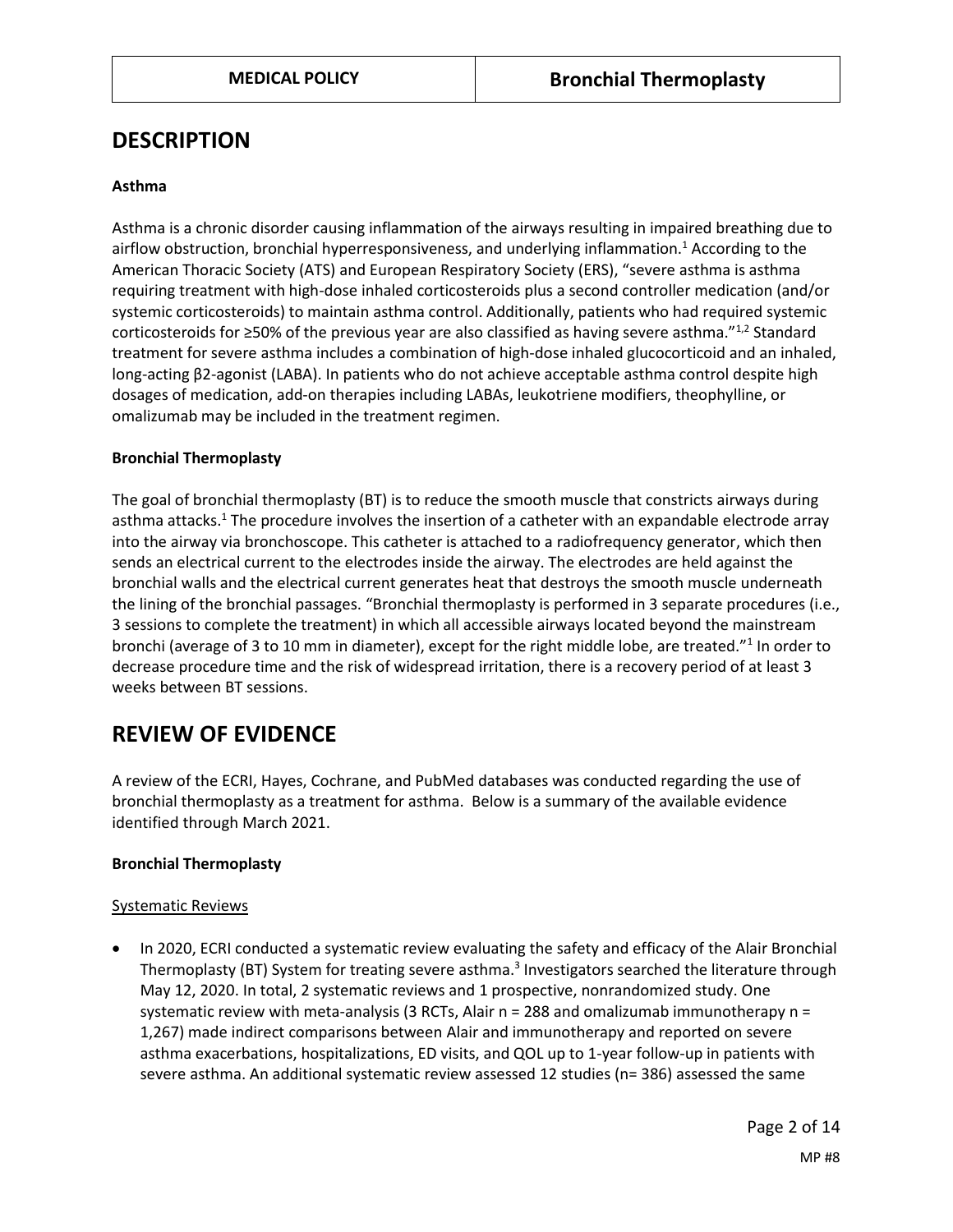## **DESCRIPTION**

#### **Asthma**

Asthma is a chronic disorder causing inflammation of the airways resulting in impaired breathing due to airflow obstruction, bronchial hyperresponsiveness, and underlying inflammation.<sup>1</sup> According to the American Thoracic Society (ATS) and European Respiratory Society (ERS), "severe asthma is asthma requiring treatment with high-dose inhaled corticosteroids plus a second controller medication (and/or systemic corticosteroids) to maintain asthma control. Additionally, patients who had required systemic corticosteroids for  $\geq$ 50% of the previous year are also classified as having severe asthma."<sup>1,2</sup> Standard treatment for severe asthma includes a combination of high-dose inhaled glucocorticoid and an inhaled, long-acting β2-agonist (LABA). In patients who do not achieve acceptable asthma control despite high dosages of medication, add-on therapies including LABAs, leukotriene modifiers, theophylline, or omalizumab may be included in the treatment regimen.

#### **Bronchial Thermoplasty**

The goal of bronchial thermoplasty (BT) is to reduce the smooth muscle that constricts airways during asthma attacks.<sup>1</sup> The procedure involves the insertion of a catheter with an expandable electrode array into the airway via bronchoscope. This catheter is attached to a radiofrequency generator, which then sends an electrical current to the electrodes inside the airway. The electrodes are held against the bronchial walls and the electrical current generates heat that destroys the smooth muscle underneath the lining of the bronchial passages. "Bronchial thermoplasty is performed in 3 separate procedures (i.e., 3 sessions to complete the treatment) in which all accessible airways located beyond the mainstream bronchi (average of 3 to 10 mm in diameter), except for the right middle lobe, are treated."<sup>1</sup> In order to decrease procedure time and the risk of widespread irritation, there is a recovery period of at least 3 weeks between BT sessions.

## **REVIEW OF EVIDENCE**

A review of the ECRI, Hayes, Cochrane, and PubMed databases was conducted regarding the use of bronchial thermoplasty as a treatment for asthma. Below is a summary of the available evidence identified through March 2021.

#### **Bronchial Thermoplasty**

#### Systematic Reviews

 In 2020, ECRI conducted a systematic review evaluating the safety and efficacy of the Alair Bronchial Thermoplasty (BT) System for treating severe asthma.<sup>3</sup> Investigators searched the literature through May 12, 2020. In total, 2 systematic reviews and 1 prospective, nonrandomized study. One systematic review with meta-analysis (3 RCTs, Alair  $n = 288$  and omalizumab immunotherapy  $n =$ 1,267) made indirect comparisons between Alair and immunotherapy and reported on severe asthma exacerbations, hospitalizations, ED visits, and QOL up to 1-year follow-up in patients with severe asthma. An additional systematic review assessed 12 studies (n= 386) assessed the same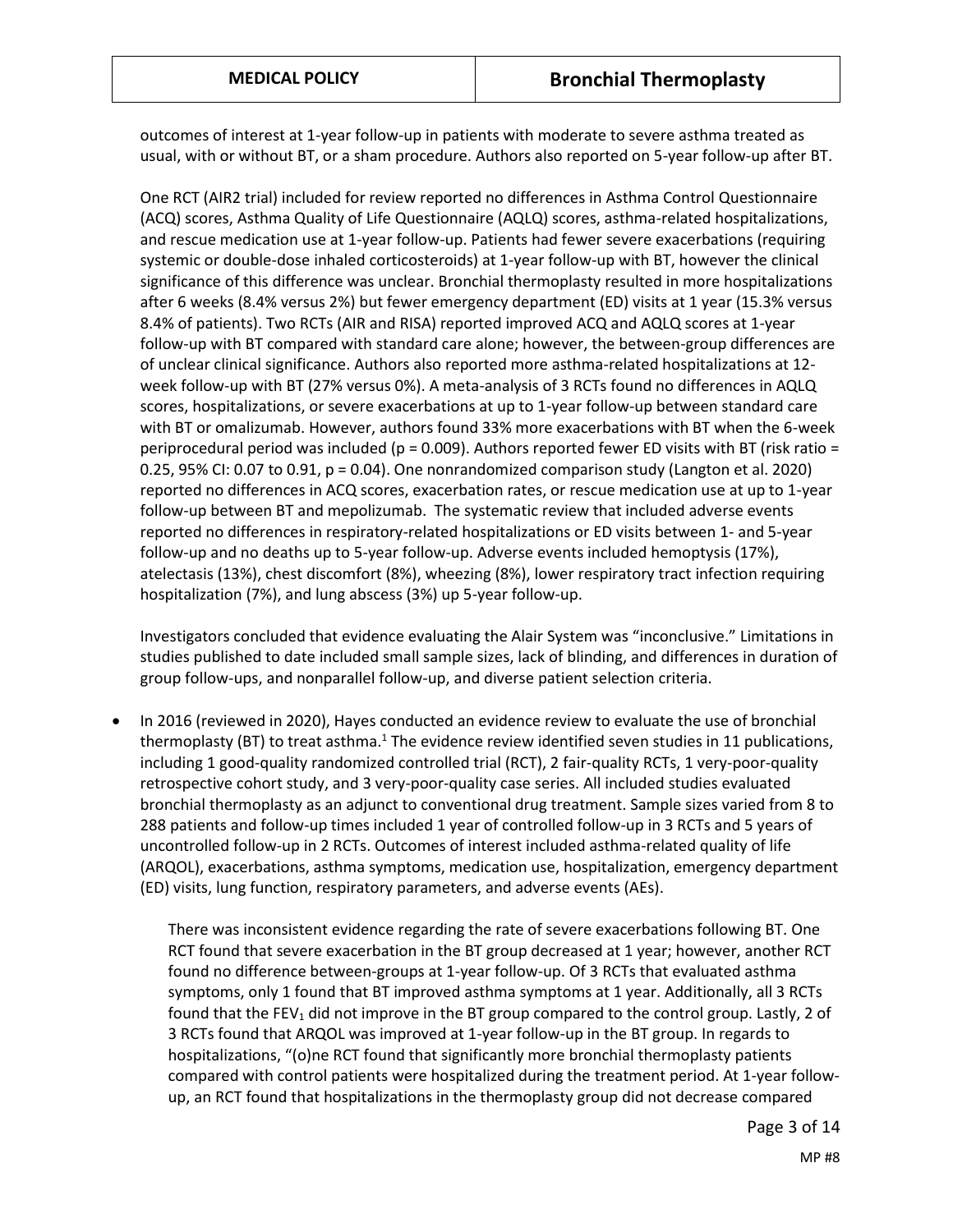outcomes of interest at 1-year follow-up in patients with moderate to severe asthma treated as usual, with or without BT, or a sham procedure. Authors also reported on 5-year follow-up after BT.

One RCT (AIR2 trial) included for review reported no differences in Asthma Control Questionnaire (ACQ) scores, Asthma Quality of Life Questionnaire (AQLQ) scores, asthma-related hospitalizations, and rescue medication use at 1-year follow-up. Patients had fewer severe exacerbations (requiring systemic or double-dose inhaled corticosteroids) at 1-year follow-up with BT, however the clinical significance of this difference was unclear. Bronchial thermoplasty resulted in more hospitalizations after 6 weeks (8.4% versus 2%) but fewer emergency department (ED) visits at 1 year (15.3% versus 8.4% of patients). Two RCTs (AIR and RISA) reported improved ACQ and AQLQ scores at 1-year follow-up with BT compared with standard care alone; however, the between-group differences are of unclear clinical significance. Authors also reported more asthma-related hospitalizations at 12 week follow-up with BT (27% versus 0%). A meta-analysis of 3 RCTs found no differences in AQLQ scores, hospitalizations, or severe exacerbations at up to 1-year follow-up between standard care with BT or omalizumab. However, authors found 33% more exacerbations with BT when the 6-week periprocedural period was included ( $p = 0.009$ ). Authors reported fewer ED visits with BT (risk ratio = 0.25, 95% CI: 0.07 to 0.91, p = 0.04). One nonrandomized comparison study (Langton et al. 2020) reported no differences in ACQ scores, exacerbation rates, or rescue medication use at up to 1-year follow-up between BT and mepolizumab. The systematic review that included adverse events reported no differences in respiratory-related hospitalizations or ED visits between 1- and 5-year follow-up and no deaths up to 5-year follow-up. Adverse events included hemoptysis (17%), atelectasis (13%), chest discomfort (8%), wheezing (8%), lower respiratory tract infection requiring hospitalization (7%), and lung abscess (3%) up 5-year follow-up.

Investigators concluded that evidence evaluating the Alair System was "inconclusive." Limitations in studies published to date included small sample sizes, lack of blinding, and differences in duration of group follow-ups, and nonparallel follow-up, and diverse patient selection criteria.

 In 2016 (reviewed in 2020), Hayes conducted an evidence review to evaluate the use of bronchial thermoplasty (BT) to treat asthma.<sup>1</sup> The evidence review identified seven studies in 11 publications, including 1 good-quality randomized controlled trial (RCT), 2 fair-quality RCTs, 1 very-poor-quality retrospective cohort study, and 3 very-poor-quality case series. All included studies evaluated bronchial thermoplasty as an adjunct to conventional drug treatment. Sample sizes varied from 8 to 288 patients and follow-up times included 1 year of controlled follow-up in 3 RCTs and 5 years of uncontrolled follow-up in 2 RCTs. Outcomes of interest included asthma-related quality of life (ARQOL), exacerbations, asthma symptoms, medication use, hospitalization, emergency department (ED) visits, lung function, respiratory parameters, and adverse events (AEs).

There was inconsistent evidence regarding the rate of severe exacerbations following BT. One RCT found that severe exacerbation in the BT group decreased at 1 year; however, another RCT found no difference between-groups at 1-year follow-up. Of 3 RCTs that evaluated asthma symptoms, only 1 found that BT improved asthma symptoms at 1 year. Additionally, all 3 RCTs found that the FEV<sub>1</sub> did not improve in the BT group compared to the control group. Lastly, 2 of 3 RCTs found that ARQOL was improved at 1-year follow-up in the BT group. In regards to hospitalizations, "(o)ne RCT found that significantly more bronchial thermoplasty patients compared with control patients were hospitalized during the treatment period. At 1-year followup, an RCT found that hospitalizations in the thermoplasty group did not decrease compared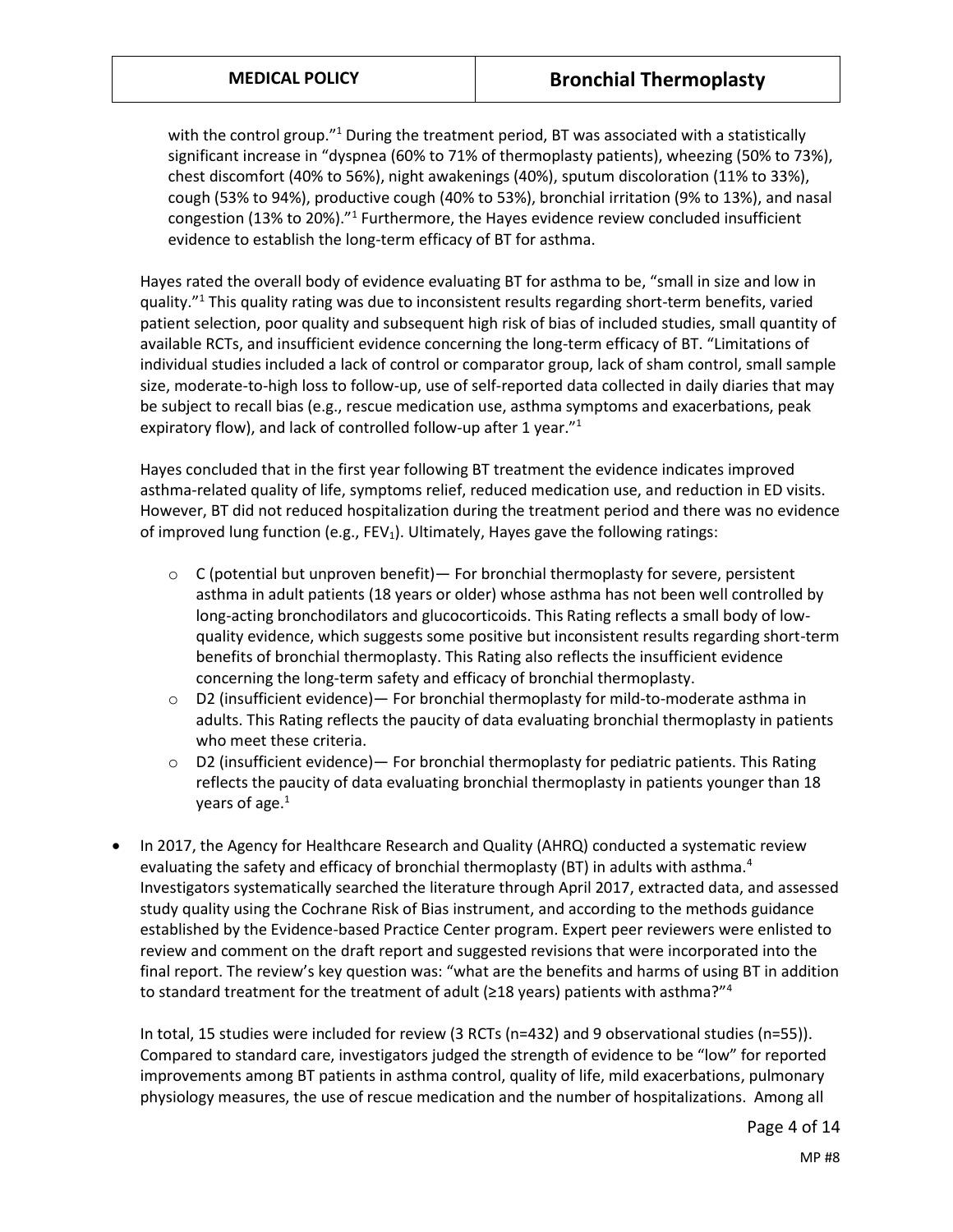with the control group."<sup>1</sup> During the treatment period, BT was associated with a statistically significant increase in "dyspnea (60% to 71% of thermoplasty patients), wheezing (50% to 73%), chest discomfort (40% to 56%), night awakenings (40%), sputum discoloration (11% to 33%), cough (53% to 94%), productive cough (40% to 53%), bronchial irritation (9% to 13%), and nasal congestion (13% to 20%)."<sup>1</sup> Furthermore, the Hayes evidence review concluded insufficient evidence to establish the long-term efficacy of BT for asthma.

Hayes rated the overall body of evidence evaluating BT for asthma to be, "small in size and low in quality."<sup>1</sup> This quality rating was due to inconsistent results regarding short-term benefits, varied patient selection, poor quality and subsequent high risk of bias of included studies, small quantity of available RCTs, and insufficient evidence concerning the long-term efficacy of BT. "Limitations of individual studies included a lack of control or comparator group, lack of sham control, small sample size, moderate-to-high loss to follow-up, use of self-reported data collected in daily diaries that may be subject to recall bias (e.g., rescue medication use, asthma symptoms and exacerbations, peak expiratory flow), and lack of controlled follow-up after 1 year."<sup>1</sup>

Hayes concluded that in the first year following BT treatment the evidence indicates improved asthma-related quality of life, symptoms relief, reduced medication use, and reduction in ED visits. However, BT did not reduced hospitalization during the treatment period and there was no evidence of improved lung function (e.g.,  $FEV<sub>1</sub>$ ). Ultimately, Hayes gave the following ratings:

- $\circ$  C (potential but unproven benefit) For bronchial thermoplasty for severe, persistent asthma in adult patients (18 years or older) whose asthma has not been well controlled by long-acting bronchodilators and glucocorticoids. This Rating reflects a small body of lowquality evidence, which suggests some positive but inconsistent results regarding short-term benefits of bronchial thermoplasty. This Rating also reflects the insufficient evidence concerning the long-term safety and efficacy of bronchial thermoplasty.
- $\circ$  D2 (insufficient evidence) For bronchial thermoplasty for mild-to-moderate asthma in adults. This Rating reflects the paucity of data evaluating bronchial thermoplasty in patients who meet these criteria.
- o D2 (insufficient evidence)— For bronchial thermoplasty for pediatric patients. This Rating reflects the paucity of data evaluating bronchial thermoplasty in patients younger than 18 years of age.<sup>1</sup>
- In 2017, the Agency for Healthcare Research and Quality (AHRQ) conducted a systematic review evaluating the safety and efficacy of bronchial thermoplasty (BT) in adults with asthma. $4$ Investigators systematically searched the literature through April 2017, extracted data, and assessed study quality using the Cochrane Risk of Bias instrument, and according to the methods guidance established by the Evidence-based Practice Center program. Expert peer reviewers were enlisted to review and comment on the draft report and suggested revisions that were incorporated into the final report. The review's key question was: "what are the benefits and harms of using BT in addition to standard treatment for the treatment of adult ( $\geq$ 18 years) patients with asthma?"<sup>4</sup>

In total, 15 studies were included for review (3 RCTs (n=432) and 9 observational studies (n=55)). Compared to standard care, investigators judged the strength of evidence to be "low" for reported improvements among BT patients in asthma control, quality of life, mild exacerbations, pulmonary physiology measures, the use of rescue medication and the number of hospitalizations. Among all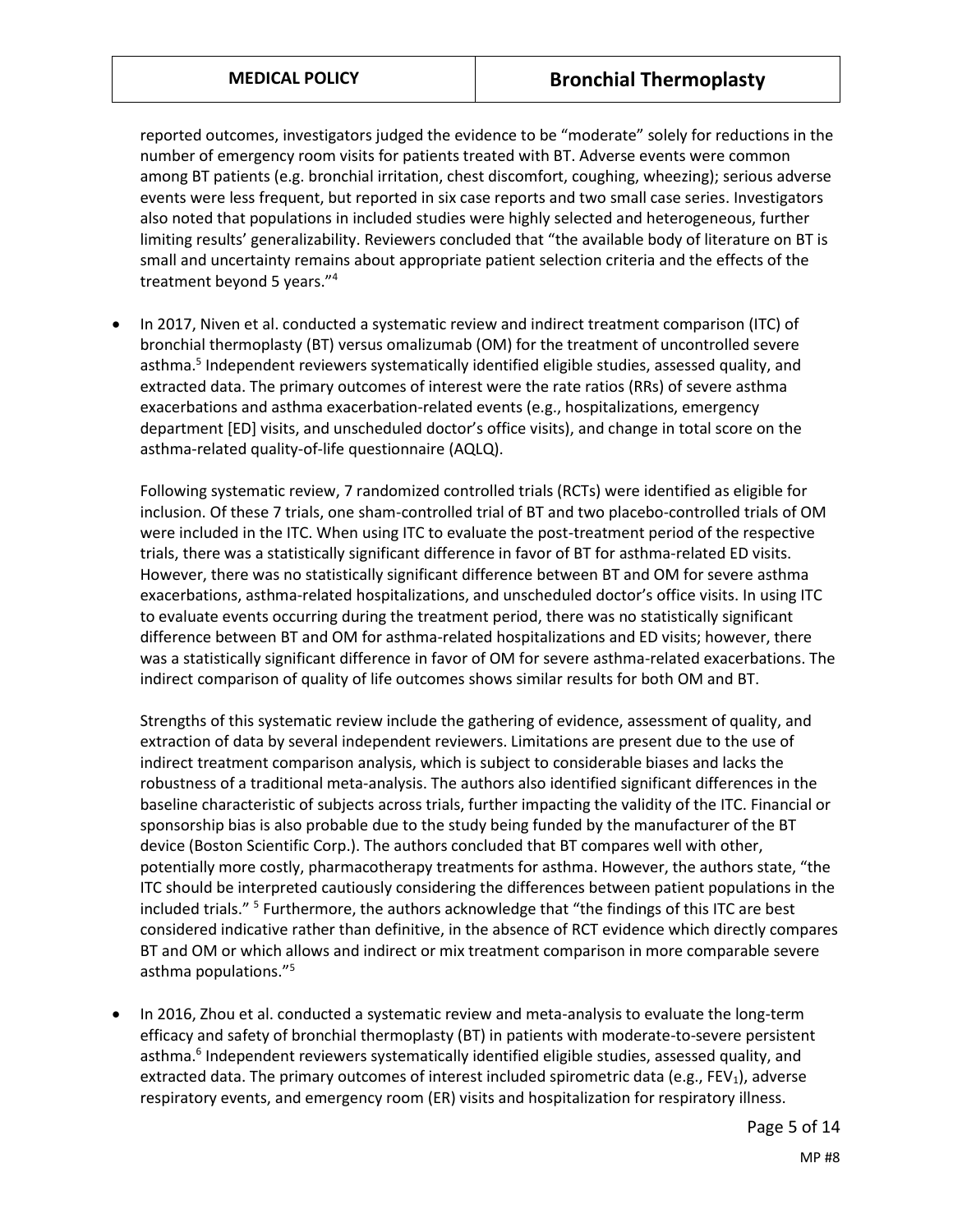reported outcomes, investigators judged the evidence to be "moderate" solely for reductions in the number of emergency room visits for patients treated with BT. Adverse events were common among BT patients (e.g. bronchial irritation, chest discomfort, coughing, wheezing); serious adverse events were less frequent, but reported in six case reports and two small case series. Investigators also noted that populations in included studies were highly selected and heterogeneous, further limiting results' generalizability. Reviewers concluded that "the available body of literature on BT is small and uncertainty remains about appropriate patient selection criteria and the effects of the treatment beyond 5 years."<sup>4</sup>

 In 2017, Niven et al. conducted a systematic review and indirect treatment comparison (ITC) of bronchial thermoplasty (BT) versus omalizumab (OM) for the treatment of uncontrolled severe asthma.<sup>5</sup> Independent reviewers systematically identified eligible studies, assessed quality, and extracted data. The primary outcomes of interest were the rate ratios (RRs) of severe asthma exacerbations and asthma exacerbation-related events (e.g., hospitalizations, emergency department [ED] visits, and unscheduled doctor's office visits), and change in total score on the asthma-related quality-of-life questionnaire (AQLQ).

Following systematic review, 7 randomized controlled trials (RCTs) were identified as eligible for inclusion. Of these 7 trials, one sham-controlled trial of BT and two placebo-controlled trials of OM were included in the ITC. When using ITC to evaluate the post-treatment period of the respective trials, there was a statistically significant difference in favor of BT for asthma-related ED visits. However, there was no statistically significant difference between BT and OM for severe asthma exacerbations, asthma-related hospitalizations, and unscheduled doctor's office visits. In using ITC to evaluate events occurring during the treatment period, there was no statistically significant difference between BT and OM for asthma-related hospitalizations and ED visits; however, there was a statistically significant difference in favor of OM for severe asthma-related exacerbations. The indirect comparison of quality of life outcomes shows similar results for both OM and BT.

Strengths of this systematic review include the gathering of evidence, assessment of quality, and extraction of data by several independent reviewers. Limitations are present due to the use of indirect treatment comparison analysis, which is subject to considerable biases and lacks the robustness of a traditional meta-analysis. The authors also identified significant differences in the baseline characteristic of subjects across trials, further impacting the validity of the ITC. Financial or sponsorship bias is also probable due to the study being funded by the manufacturer of the BT device (Boston Scientific Corp.). The authors concluded that BT compares well with other, potentially more costly, pharmacotherapy treatments for asthma. However, the authors state, "the ITC should be interpreted cautiously considering the differences between patient populations in the included trials."<sup>5</sup> Furthermore, the authors acknowledge that "the findings of this ITC are best considered indicative rather than definitive, in the absence of RCT evidence which directly compares BT and OM or which allows and indirect or mix treatment comparison in more comparable severe asthma populations."<sup>5</sup>

 In 2016, Zhou et al. conducted a systematic review and meta-analysis to evaluate the long-term efficacy and safety of bronchial thermoplasty (BT) in patients with moderate-to-severe persistent asthma.<sup>6</sup> Independent reviewers systematically identified eligible studies, assessed quality, and extracted data. The primary outcomes of interest included spirometric data (e.g., FEV<sub>1</sub>), adverse respiratory events, and emergency room (ER) visits and hospitalization for respiratory illness.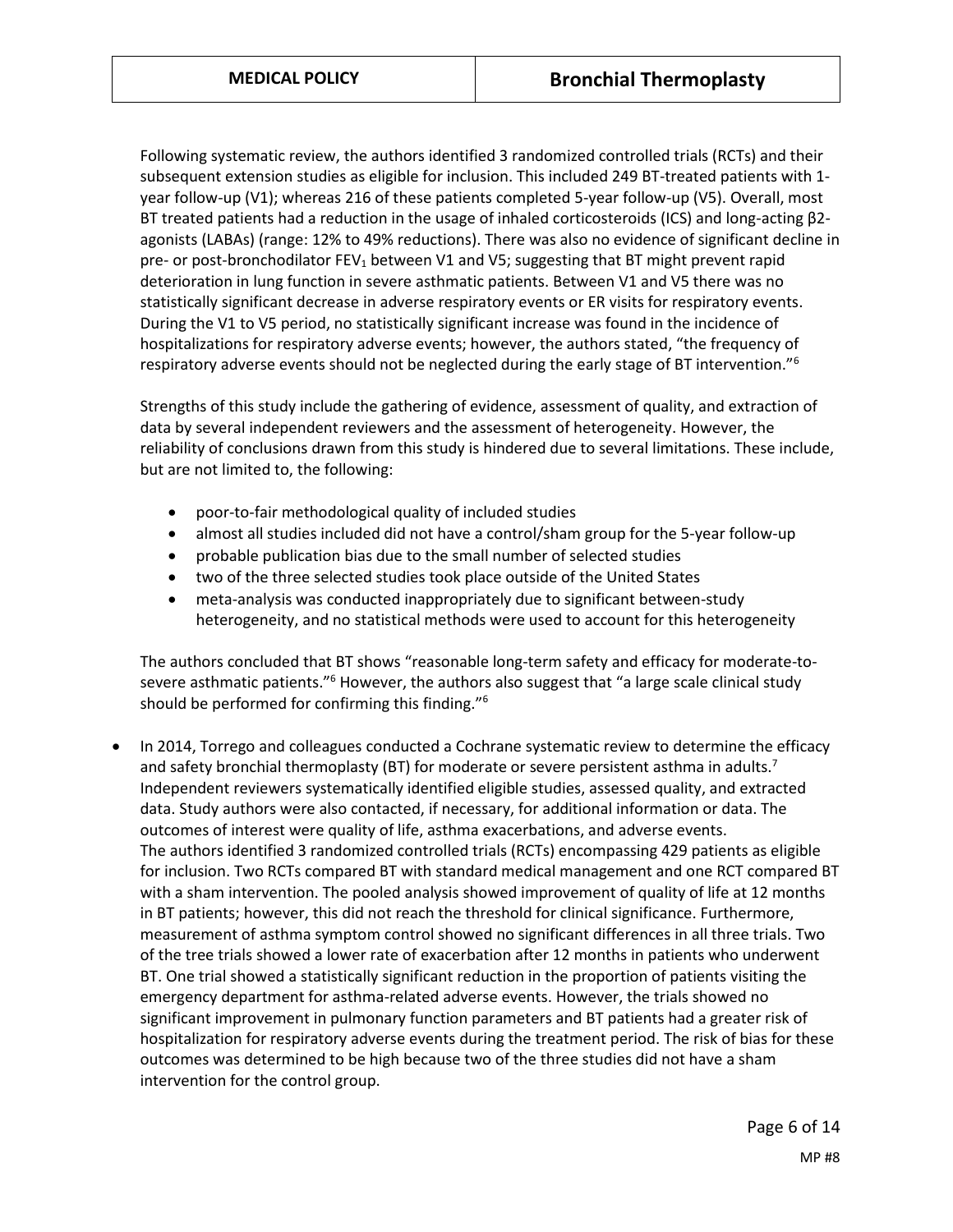Following systematic review, the authors identified 3 randomized controlled trials (RCTs) and their subsequent extension studies as eligible for inclusion. This included 249 BT-treated patients with 1 year follow-up (V1); whereas 216 of these patients completed 5-year follow-up (V5). Overall, most BT treated patients had a reduction in the usage of inhaled corticosteroids (ICS) and long-acting β2 agonists (LABAs) (range: 12% to 49% reductions). There was also no evidence of significant decline in pre- or post-bronchodilator FEV<sub>1</sub> between V1 and V5; suggesting that BT might prevent rapid deterioration in lung function in severe asthmatic patients. Between V1 and V5 there was no statistically significant decrease in adverse respiratory events or ER visits for respiratory events. During the V1 to V5 period, no statistically significant increase was found in the incidence of hospitalizations for respiratory adverse events; however, the authors stated, "the frequency of respiratory adverse events should not be neglected during the early stage of BT intervention."<sup>6</sup>

Strengths of this study include the gathering of evidence, assessment of quality, and extraction of data by several independent reviewers and the assessment of heterogeneity. However, the reliability of conclusions drawn from this study is hindered due to several limitations. These include, but are not limited to, the following:

- poor-to-fair methodological quality of included studies
- almost all studies included did not have a control/sham group for the 5-year follow-up
- probable publication bias due to the small number of selected studies
- two of the three selected studies took place outside of the United States
- meta-analysis was conducted inappropriately due to significant between-study heterogeneity, and no statistical methods were used to account for this heterogeneity

The authors concluded that BT shows "reasonable long-term safety and efficacy for moderate-tosevere asthmatic patients."<sup>6</sup> However, the authors also suggest that "a large scale clinical study should be performed for confirming this finding."<sup>6</sup>

 In 2014, Torrego and colleagues conducted a Cochrane systematic review to determine the efficacy and safety bronchial thermoplasty (BT) for moderate or severe persistent asthma in adults.<sup>7</sup> Independent reviewers systematically identified eligible studies, assessed quality, and extracted data. Study authors were also contacted, if necessary, for additional information or data. The outcomes of interest were quality of life, asthma exacerbations, and adverse events. The authors identified 3 randomized controlled trials (RCTs) encompassing 429 patients as eligible for inclusion. Two RCTs compared BT with standard medical management and one RCT compared BT with a sham intervention. The pooled analysis showed improvement of quality of life at 12 months in BT patients; however, this did not reach the threshold for clinical significance. Furthermore, measurement of asthma symptom control showed no significant differences in all three trials. Two of the tree trials showed a lower rate of exacerbation after 12 months in patients who underwent BT. One trial showed a statistically significant reduction in the proportion of patients visiting the emergency department for asthma-related adverse events. However, the trials showed no significant improvement in pulmonary function parameters and BT patients had a greater risk of hospitalization for respiratory adverse events during the treatment period. The risk of bias for these outcomes was determined to be high because two of the three studies did not have a sham intervention for the control group.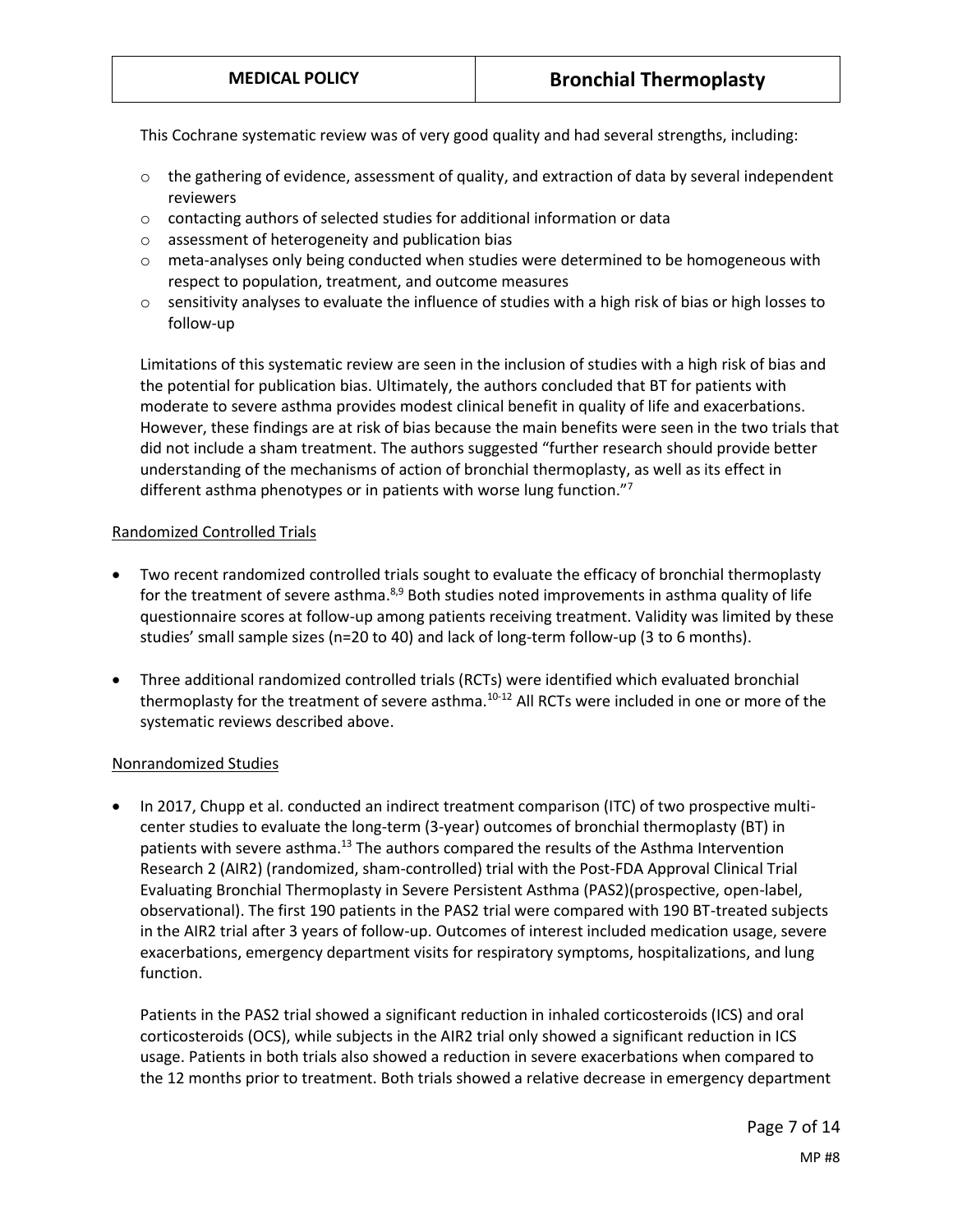This Cochrane systematic review was of very good quality and had several strengths, including:

- $\circ$  the gathering of evidence, assessment of quality, and extraction of data by several independent reviewers
- o contacting authors of selected studies for additional information or data
- o assessment of heterogeneity and publication bias
- $\circ$  meta-analyses only being conducted when studies were determined to be homogeneous with respect to population, treatment, and outcome measures
- $\circ$  sensitivity analyses to evaluate the influence of studies with a high risk of bias or high losses to follow-up

Limitations of this systematic review are seen in the inclusion of studies with a high risk of bias and the potential for publication bias. Ultimately, the authors concluded that BT for patients with moderate to severe asthma provides modest clinical benefit in quality of life and exacerbations. However, these findings are at risk of bias because the main benefits were seen in the two trials that did not include a sham treatment. The authors suggested "further research should provide better understanding of the mechanisms of action of bronchial thermoplasty, as well as its effect in different asthma phenotypes or in patients with worse lung function."<sup>7</sup>

#### Randomized Controlled Trials

- Two recent randomized controlled trials sought to evaluate the efficacy of bronchial thermoplasty for the treatment of severe asthma.<sup>8,9</sup> Both studies noted improvements in asthma quality of life questionnaire scores at follow-up among patients receiving treatment. Validity was limited by these studies' small sample sizes (n=20 to 40) and lack of long-term follow-up (3 to 6 months).
- Three additional randomized controlled trials (RCTs) were identified which evaluated bronchial thermoplasty for the treatment of severe asthma.<sup>10-12</sup> All RCTs were included in one or more of the systematic reviews described above.

#### Nonrandomized Studies

 In 2017, Chupp et al. conducted an indirect treatment comparison (ITC) of two prospective multicenter studies to evaluate the long-term (3-year) outcomes of bronchial thermoplasty (BT) in patients with severe asthma.<sup>13</sup> The authors compared the results of the Asthma Intervention Research 2 (AIR2) (randomized, sham-controlled) trial with the Post-FDA Approval Clinical Trial Evaluating Bronchial Thermoplasty in Severe Persistent Asthma (PAS2)(prospective, open-label, observational). The first 190 patients in the PAS2 trial were compared with 190 BT-treated subjects in the AIR2 trial after 3 years of follow-up. Outcomes of interest included medication usage, severe exacerbations, emergency department visits for respiratory symptoms, hospitalizations, and lung function.

Patients in the PAS2 trial showed a significant reduction in inhaled corticosteroids (ICS) and oral corticosteroids (OCS), while subjects in the AIR2 trial only showed a significant reduction in ICS usage. Patients in both trials also showed a reduction in severe exacerbations when compared to the 12 months prior to treatment. Both trials showed a relative decrease in emergency department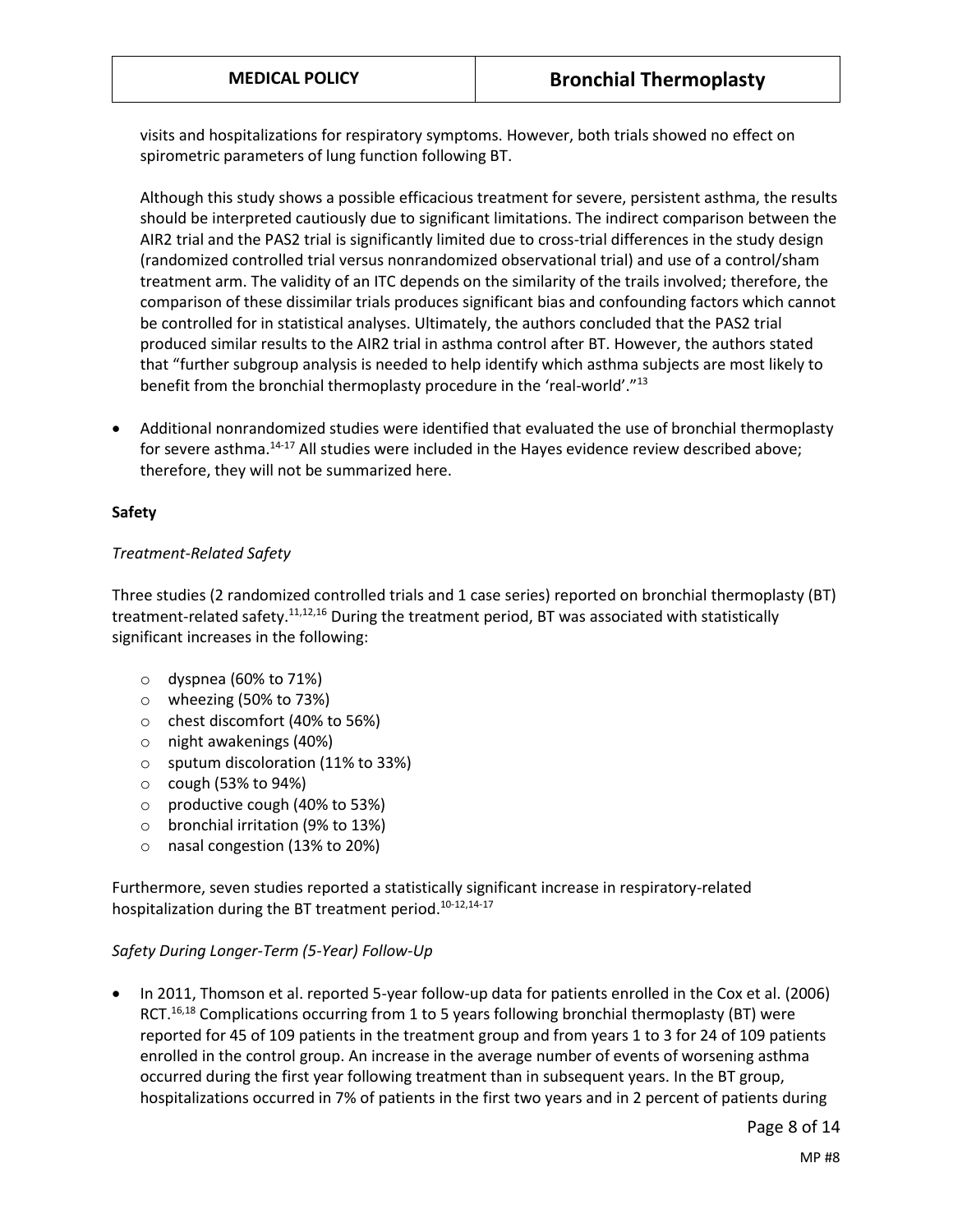visits and hospitalizations for respiratory symptoms. However, both trials showed no effect on spirometric parameters of lung function following BT.

Although this study shows a possible efficacious treatment for severe, persistent asthma, the results should be interpreted cautiously due to significant limitations. The indirect comparison between the AIR2 trial and the PAS2 trial is significantly limited due to cross-trial differences in the study design (randomized controlled trial versus nonrandomized observational trial) and use of a control/sham treatment arm. The validity of an ITC depends on the similarity of the trails involved; therefore, the comparison of these dissimilar trials produces significant bias and confounding factors which cannot be controlled for in statistical analyses. Ultimately, the authors concluded that the PAS2 trial produced similar results to the AIR2 trial in asthma control after BT. However, the authors stated that "further subgroup analysis is needed to help identify which asthma subjects are most likely to benefit from the bronchial thermoplasty procedure in the 'real-world'."<sup>13</sup>

 Additional nonrandomized studies were identified that evaluated the use of bronchial thermoplasty for severe asthma.14-17 All studies were included in the Hayes evidence review described above; therefore, they will not be summarized here.

#### **Safety**

#### *Treatment-Related Safety*

Three studies (2 randomized controlled trials and 1 case series) reported on bronchial thermoplasty (BT) treatment-related safety.<sup>11,12,16</sup> During the treatment period, BT was associated with statistically significant increases in the following:

- $\circ$  dyspnea (60% to 71%)
- o wheezing (50% to 73%)
- o chest discomfort (40% to 56%)
- o night awakenings (40%)
- o sputum discoloration (11% to 33%)
- $\circ$  cough (53% to 94%)
- o productive cough (40% to 53%)
- o bronchial irritation (9% to 13%)
- o nasal congestion (13% to 20%)

Furthermore, seven studies reported a statistically significant increase in respiratory-related hospitalization during the BT treatment period.<sup>10-12,14-17</sup>

#### *Safety During Longer-Term (5-Year) Follow-Up*

 In 2011, Thomson et al. reported 5-year follow-up data for patients enrolled in the Cox et al. (2006) RCT.<sup>16,18</sup> Complications occurring from 1 to 5 years following bronchial thermoplasty (BT) were reported for 45 of 109 patients in the treatment group and from years 1 to 3 for 24 of 109 patients enrolled in the control group. An increase in the average number of events of worsening asthma occurred during the first year following treatment than in subsequent years. In the BT group, hospitalizations occurred in 7% of patients in the first two years and in 2 percent of patients during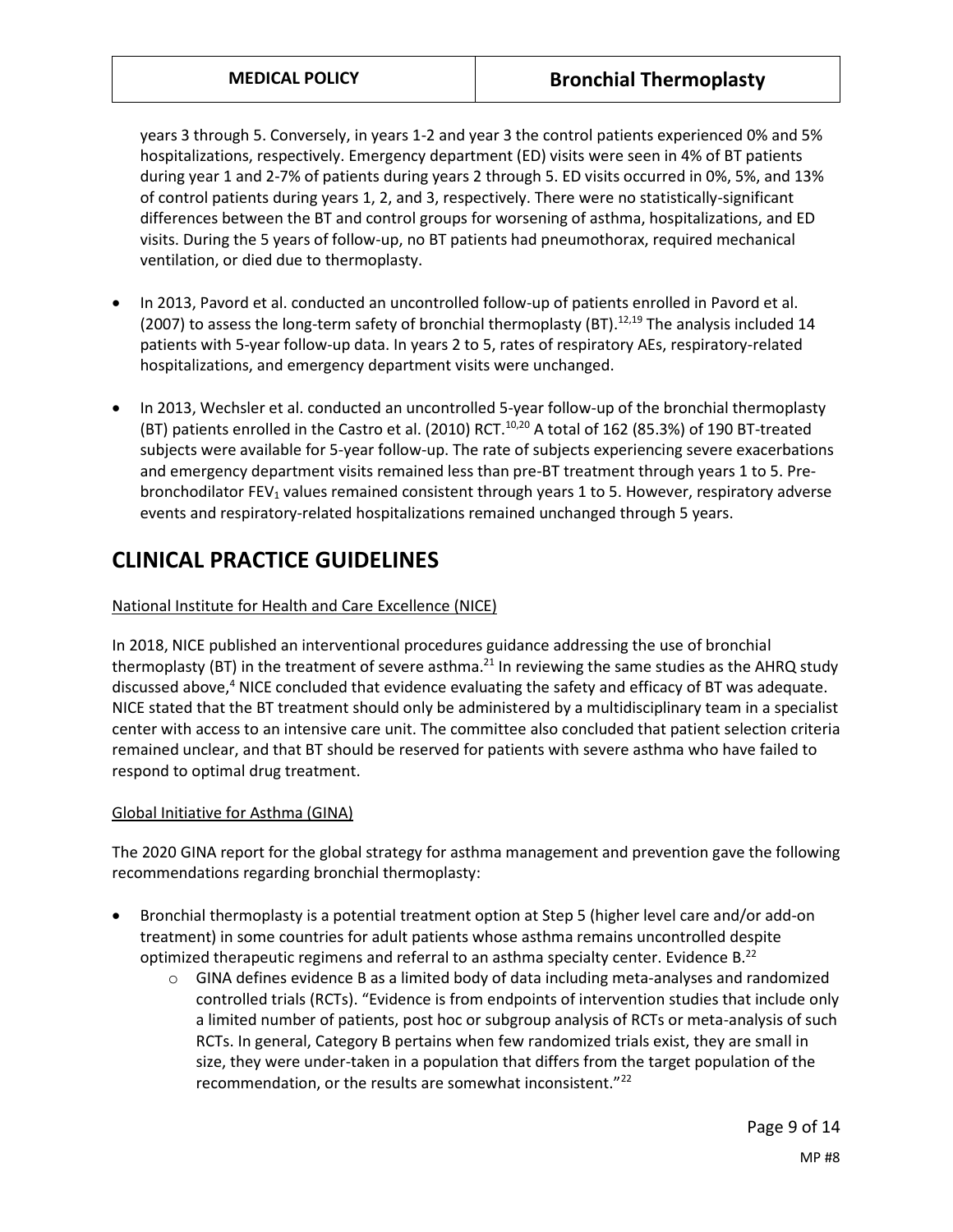years 3 through 5. Conversely, in years 1-2 and year 3 the control patients experienced 0% and 5% hospitalizations, respectively. Emergency department (ED) visits were seen in 4% of BT patients during year 1 and 2-7% of patients during years 2 through 5. ED visits occurred in 0%, 5%, and 13% of control patients during years 1, 2, and 3, respectively. There were no statistically-significant differences between the BT and control groups for worsening of asthma, hospitalizations, and ED visits. During the 5 years of follow-up, no BT patients had pneumothorax, required mechanical ventilation, or died due to thermoplasty.

- In 2013, Pavord et al. conducted an uncontrolled follow-up of patients enrolled in Pavord et al. (2007) to assess the long-term safety of bronchial thermoplasty (BT).<sup>12,19</sup> The analysis included 14 patients with 5-year follow-up data. In years 2 to 5, rates of respiratory AEs, respiratory-related hospitalizations, and emergency department visits were unchanged.
- In 2013, Wechsler et al. conducted an uncontrolled 5-year follow-up of the bronchial thermoplasty (BT) patients enrolled in the Castro et al. (2010) RCT.<sup>10,20</sup> A total of 162 (85.3%) of 190 BT-treated subjects were available for 5-year follow-up. The rate of subjects experiencing severe exacerbations and emergency department visits remained less than pre-BT treatment through years 1 to 5. Prebronchodilator FEV<sub>1</sub> values remained consistent through years 1 to 5. However, respiratory adverse events and respiratory-related hospitalizations remained unchanged through 5 years.

# **CLINICAL PRACTICE GUIDELINES**

### National Institute for Health and Care Excellence (NICE)

In 2018, NICE published an interventional procedures guidance addressing the use of bronchial thermoplasty (BT) in the treatment of severe asthma.<sup>21</sup> In reviewing the same studies as the AHRQ study discussed above,<sup>4</sup> NICE concluded that evidence evaluating the safety and efficacy of BT was adequate. NICE stated that the BT treatment should only be administered by a multidisciplinary team in a specialist center with access to an intensive care unit. The committee also concluded that patient selection criteria remained unclear, and that BT should be reserved for patients with severe asthma who have failed to respond to optimal drug treatment.

#### Global Initiative for Asthma (GINA)

The 2020 GINA report for the global strategy for asthma management and prevention gave the following recommendations regarding bronchial thermoplasty:

- Bronchial thermoplasty is a potential treatment option at Step 5 (higher level care and/or add-on treatment) in some countries for adult patients whose asthma remains uncontrolled despite optimized therapeutic regimens and referral to an asthma specialty center. Evidence B.<sup>22</sup>
	- $\circ$  GINA defines evidence B as a limited body of data including meta-analyses and randomized controlled trials (RCTs). "Evidence is from endpoints of intervention studies that include only a limited number of patients, post hoc or subgroup analysis of RCTs or meta-analysis of such RCTs. In general, Category B pertains when few randomized trials exist, they are small in size, they were under-taken in a population that differs from the target population of the recommendation, or the results are somewhat inconsistent."<sup>22</sup>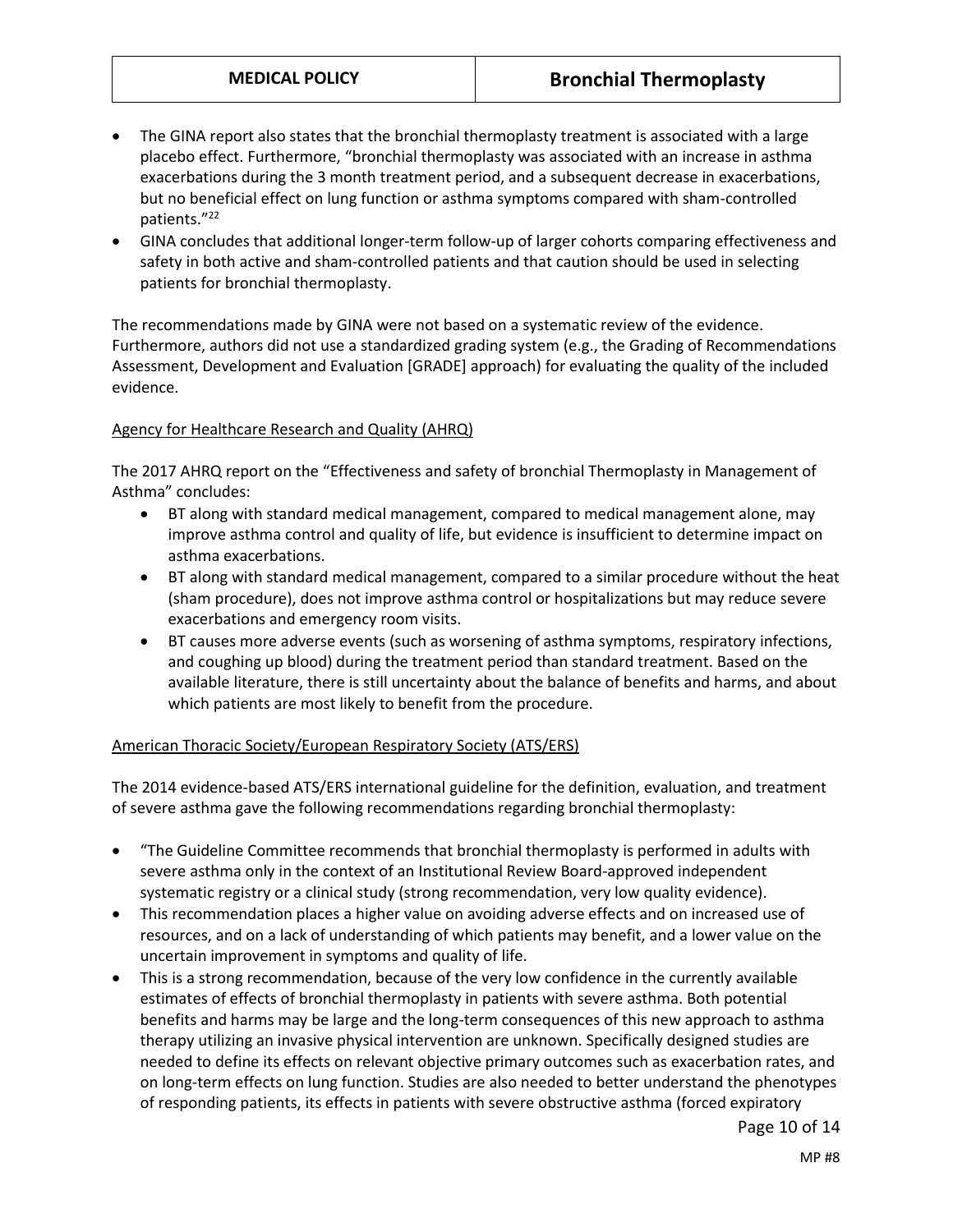- The GINA report also states that the bronchial thermoplasty treatment is associated with a large placebo effect. Furthermore, "bronchial thermoplasty was associated with an increase in asthma exacerbations during the 3 month treatment period, and a subsequent decrease in exacerbations, but no beneficial effect on lung function or asthma symptoms compared with sham-controlled patients."<sup>22</sup>
- GINA concludes that additional longer-term follow-up of larger cohorts comparing effectiveness and safety in both active and sham-controlled patients and that caution should be used in selecting patients for bronchial thermoplasty.

The recommendations made by GINA were not based on a systematic review of the evidence. Furthermore, authors did not use a standardized grading system (e.g., the Grading of Recommendations Assessment, Development and Evaluation [GRADE] approach) for evaluating the quality of the included evidence.

#### <span id="page-9-0"></span>Agency for Healthcare Research and Quality (AHRQ)

The 2017 AHRQ report on the "Effectiveness and safety of bronchial Thermoplasty in Management of Asthma" concludes:

- BT along with standard medical management, compared to medical management alone, may improve asthma control and quality of life, but evidence is insufficient to determine impact on asthma exacerbations.
- BT along with standard medical management, compared to a similar procedure without the heat (sham procedure), does not improve asthma control or hospitalizations but may reduce severe exacerbations and emergency room visits.
- BT causes more adverse events (such as worsening of asthma symptoms, respiratory infections, and coughing up blood) during the treatment period than standard treatment. Based on the available literature, there is still uncertainty about the balance of benefits and harms, and about which patients are most likely to benefit from the procedure.

#### American Thoracic Society/European Respiratory Society (ATS/ERS)

The 2014 evidence-based ATS/ERS international guideline for the definition, evaluation, and treatment of severe asthma gave the following recommendations regarding bronchial thermoplasty:

- "The Guideline Committee recommends that bronchial thermoplasty is performed in adults with severe asthma only in the context of an Institutional Review Board-approved independent systematic registry or a clinical study (strong recommendation, very low quality evidence).
- This recommendation places a higher value on avoiding adverse effects and on increased use of resources, and on a lack of understanding of which patients may benefit, and a lower value on the uncertain improvement in symptoms and quality of life.
- This is a strong recommendation, because of the very low confidence in the currently available estimates of effects of bronchial thermoplasty in patients with severe asthma. Both potential benefits and harms may be large and the long-term consequences of this new approach to asthma therapy utilizing an invasive physical intervention are unknown. Specifically designed studies are needed to define its effects on relevant objective primary outcomes such as exacerbation rates, and on long-term effects on lung function. Studies are also needed to better understand the phenotypes of responding patients, its effects in patients with severe obstructive asthma (forced expiratory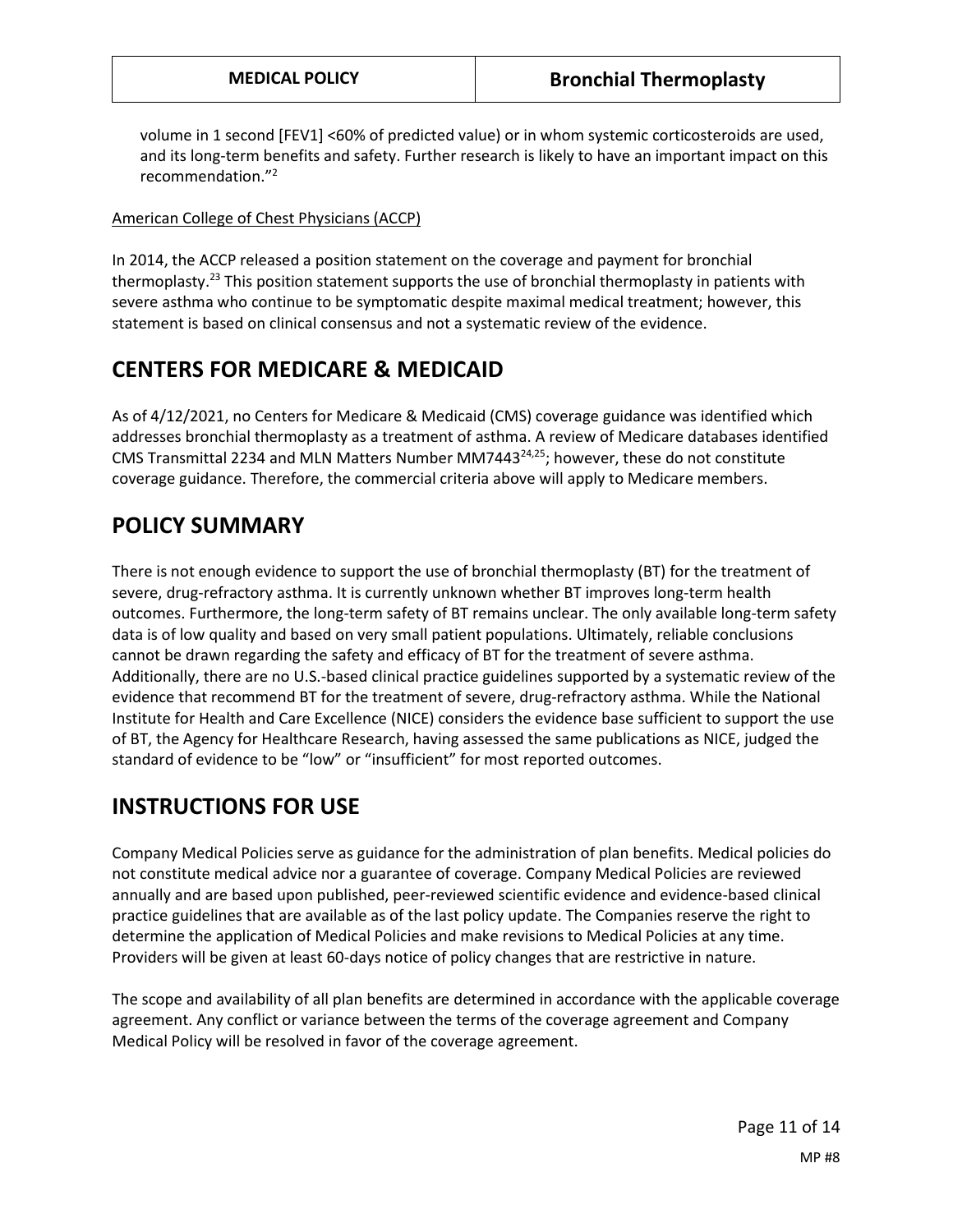volume in 1 second [FEV1] <60% of predicted value) or in whom systemic corticosteroids are used, and its long-term benefits and safety. Further research is likely to have an important impact on this recommendation."<sup>2</sup>

#### American College of Chest Physicians (ACCP)

In 2014, the ACCP released a position statement on the coverage and payment for bronchial thermoplasty.<sup>23</sup> This position statement supports the use of bronchial thermoplasty in patients with severe asthma who continue to be symptomatic despite maximal medical treatment; however, this statement is based on clinical consensus and not a systematic review of the evidence.

## **CENTERS FOR MEDICARE & MEDICAID**

As of 4/12/2021, no Centers for Medicare & Medicaid (CMS) coverage guidance was identified which addresses bronchial thermoplasty as a treatment of asthma. A review of Medicare databases identified CMS Transmittal 2234 and MLN Matters Number MM7443 $^{24,25}$ ; however, these do not constitute coverage guidance. Therefore, the commercial criteria above will apply to Medicare members.

## **POLICY SUMMARY**

There is not enough evidence to support the use of bronchial thermoplasty (BT) for the treatment of severe, drug-refractory asthma. It is currently unknown whether BT improves long-term health outcomes. Furthermore, the long-term safety of BT remains unclear. The only available long-term safety data is of low quality and based on very small patient populations. Ultimately, reliable conclusions cannot be drawn regarding the safety and efficacy of BT for the treatment of severe asthma. Additionally, there are no U.S.-based clinical practice guidelines supported by a systematic review of the evidence that recommend BT for the treatment of severe, drug-refractory asthma. While the National Institute for Health and Care Excellence (NICE) considers the evidence base sufficient to support the use of BT, the Agency for Healthcare Research, having assessed the same publications as NICE, judged the standard of evidence to be "low" or "insufficient" for most reported outcomes.

# **INSTRUCTIONS FOR USE**

Company Medical Policies serve as guidance for the administration of plan benefits. Medical policies do not constitute medical advice nor a guarantee of coverage. Company Medical Policies are reviewed annually and are based upon published, peer-reviewed scientific evidence and evidence-based clinical practice guidelines that are available as of the last policy update. The Companies reserve the right to determine the application of Medical Policies and make revisions to Medical Policies at any time. Providers will be given at least 60-days notice of policy changes that are restrictive in nature.

The scope and availability of all plan benefits are determined in accordance with the applicable coverage agreement. Any conflict or variance between the terms of the coverage agreement and Company Medical Policy will be resolved in favor of the coverage agreement.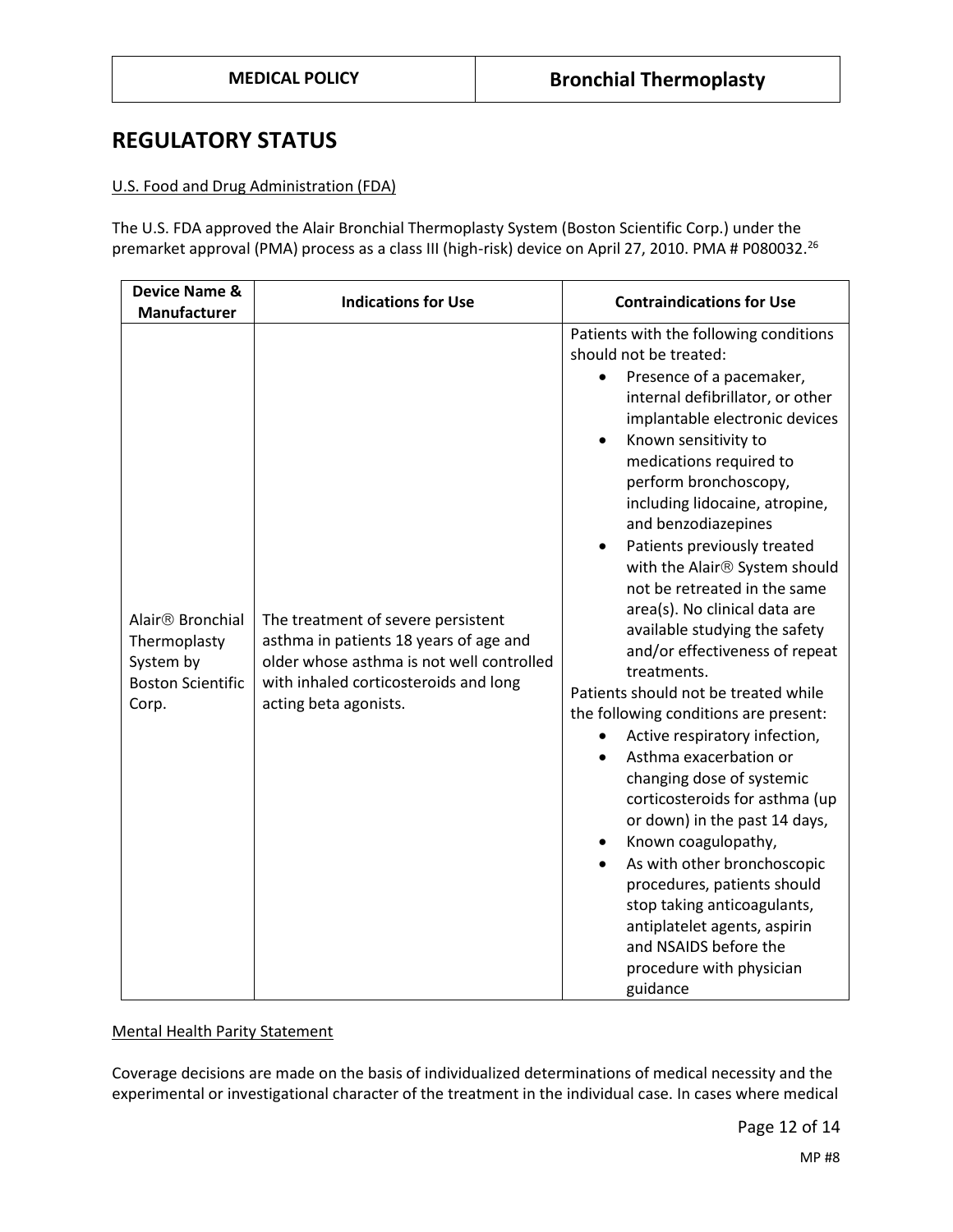## **REGULATORY STATUS**

#### U.S. Food and Drug Administration (FDA)

The U.S. FDA approved the Alair Bronchial Thermoplasty System (Boston Scientific Corp.) under the premarket approval (PMA) process as a class III (high-risk) device on April 27, 2010. PMA # P080032.<sup>26</sup>

| <b>Device Name &amp;</b><br><b>Manufacturer</b>                                                | <b>Indications for Use</b>                                                                                                                                                                  | <b>Contraindications for Use</b>                                                                                                                                                                                                                                                                                                                                                                                                                                                                                                                                                                                                                                                                                                                                                                                                                                                                                                                                                                                                                                         |
|------------------------------------------------------------------------------------------------|---------------------------------------------------------------------------------------------------------------------------------------------------------------------------------------------|--------------------------------------------------------------------------------------------------------------------------------------------------------------------------------------------------------------------------------------------------------------------------------------------------------------------------------------------------------------------------------------------------------------------------------------------------------------------------------------------------------------------------------------------------------------------------------------------------------------------------------------------------------------------------------------------------------------------------------------------------------------------------------------------------------------------------------------------------------------------------------------------------------------------------------------------------------------------------------------------------------------------------------------------------------------------------|
| Alair <sup>®</sup> Bronchial<br>Thermoplasty<br>System by<br><b>Boston Scientific</b><br>Corp. | The treatment of severe persistent<br>asthma in patients 18 years of age and<br>older whose asthma is not well controlled<br>with inhaled corticosteroids and long<br>acting beta agonists. | Patients with the following conditions<br>should not be treated:<br>Presence of a pacemaker,<br>$\bullet$<br>internal defibrillator, or other<br>implantable electronic devices<br>Known sensitivity to<br>$\bullet$<br>medications required to<br>perform bronchoscopy,<br>including lidocaine, atropine,<br>and benzodiazepines<br>Patients previously treated<br>$\bullet$<br>with the Alair <sup>®</sup> System should<br>not be retreated in the same<br>area(s). No clinical data are<br>available studying the safety<br>and/or effectiveness of repeat<br>treatments.<br>Patients should not be treated while<br>the following conditions are present:<br>Active respiratory infection,<br>Asthma exacerbation or<br>$\bullet$<br>changing dose of systemic<br>corticosteroids for asthma (up<br>or down) in the past 14 days,<br>Known coagulopathy,<br>$\bullet$<br>As with other bronchoscopic<br>procedures, patients should<br>stop taking anticoagulants,<br>antiplatelet agents, aspirin<br>and NSAIDS before the<br>procedure with physician<br>guidance |

### Mental Health Parity Statement

Coverage decisions are made on the basis of individualized determinations of medical necessity and the experimental or investigational character of the treatment in the individual case. In cases where medical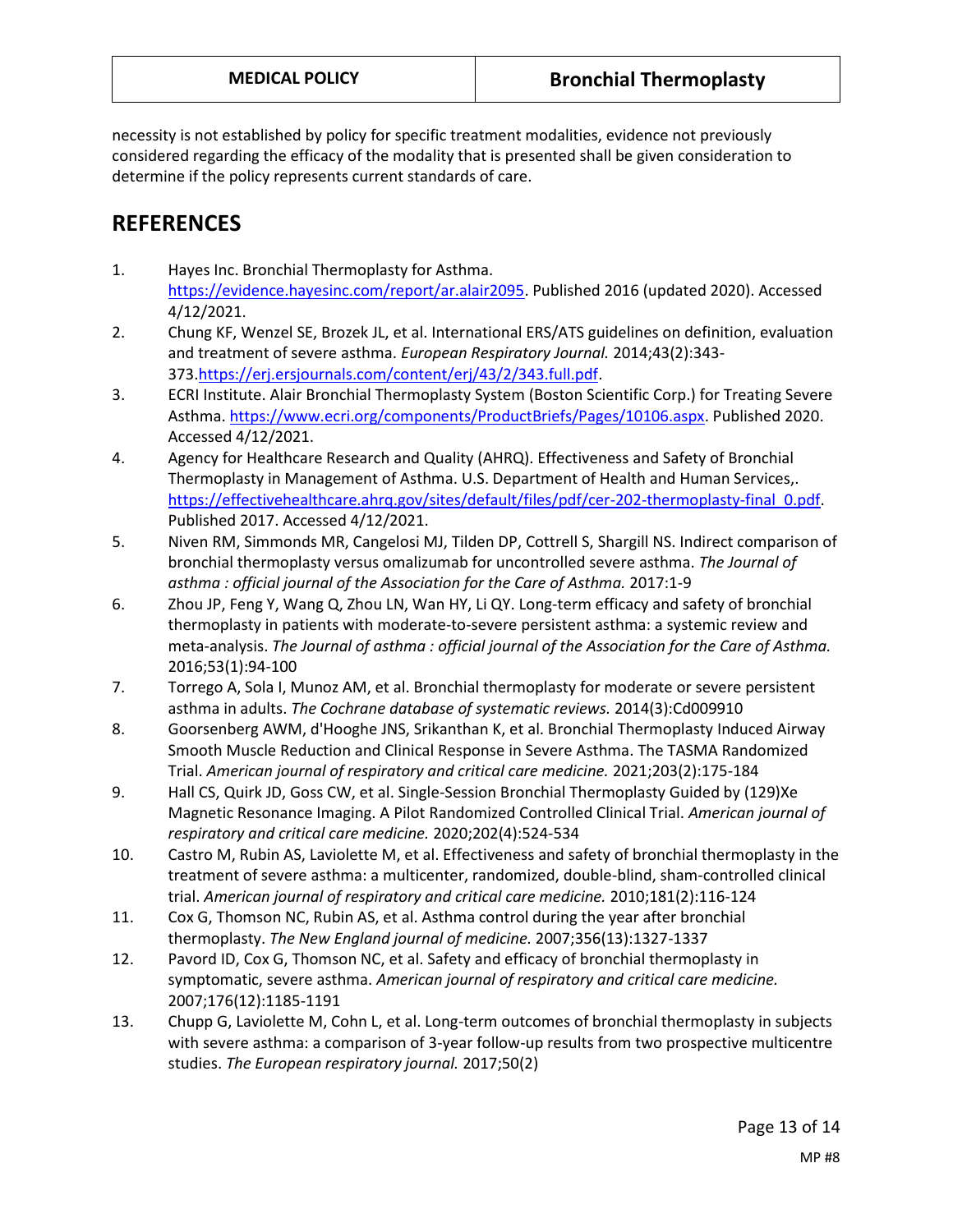necessity is not established by policy for specific treatment modalities, evidence not previously considered regarding the efficacy of the modality that is presented shall be given consideration to determine if the policy represents current standards of care.

# **REFERENCES**

- 1. Hayes Inc. Bronchial Thermoplasty for Asthma. [https://evidence.hayesinc.com/report/ar.alair2095.](https://evidence.hayesinc.com/report/ar.alair2095) Published 2016 (updated 2020). Accessed 4/12/2021.
- 2. Chung KF, Wenzel SE, Brozek JL, et al. International ERS/ATS guidelines on definition, evaluation and treatment of severe asthma. *European Respiratory Journal.* 2014;43(2):343- 373[.https://erj.ersjournals.com/content/erj/43/2/343.full.pdf.](https://erj.ersjournals.com/content/erj/43/2/343.full.pdf)
- 3. ECRI Institute. Alair Bronchial Thermoplasty System (Boston Scientific Corp.) for Treating Severe Asthma[. https://www.ecri.org/components/ProductBriefs/Pages/10106.aspx.](https://www.ecri.org/components/ProductBriefs/Pages/10106.aspx) Published 2020. Accessed 4/12/2021.
- 4. Agency for Healthcare Research and Quality (AHRQ). Effectiveness and Safety of Bronchial Thermoplasty in Management of Asthma. U.S. Department of Health and Human Services,. [https://effectivehealthcare.ahrq.gov/sites/default/files/pdf/cer-202-thermoplasty-final\\_0.pdf.](https://effectivehealthcare.ahrq.gov/sites/default/files/pdf/cer-202-thermoplasty-final_0.pdf) Published 2017. Accessed 4/12/2021.
- 5. Niven RM, Simmonds MR, Cangelosi MJ, Tilden DP, Cottrell S, Shargill NS. Indirect comparison of bronchial thermoplasty versus omalizumab for uncontrolled severe asthma. *The Journal of asthma : official journal of the Association for the Care of Asthma.* 2017:1-9
- 6. Zhou JP, Feng Y, Wang Q, Zhou LN, Wan HY, Li QY. Long-term efficacy and safety of bronchial thermoplasty in patients with moderate-to-severe persistent asthma: a systemic review and meta-analysis. *The Journal of asthma : official journal of the Association for the Care of Asthma.*  2016;53(1):94-100
- 7. Torrego A, Sola I, Munoz AM, et al. Bronchial thermoplasty for moderate or severe persistent asthma in adults. *The Cochrane database of systematic reviews.* 2014(3):Cd009910
- 8. Goorsenberg AWM, d'Hooghe JNS, Srikanthan K, et al. Bronchial Thermoplasty Induced Airway Smooth Muscle Reduction and Clinical Response in Severe Asthma. The TASMA Randomized Trial. *American journal of respiratory and critical care medicine.* 2021;203(2):175-184
- 9. Hall CS, Quirk JD, Goss CW, et al. Single-Session Bronchial Thermoplasty Guided by (129)Xe Magnetic Resonance Imaging. A Pilot Randomized Controlled Clinical Trial. *American journal of respiratory and critical care medicine.* 2020;202(4):524-534
- 10. Castro M, Rubin AS, Laviolette M, et al. Effectiveness and safety of bronchial thermoplasty in the treatment of severe asthma: a multicenter, randomized, double-blind, sham-controlled clinical trial. *American journal of respiratory and critical care medicine.* 2010;181(2):116-124
- 11. Cox G, Thomson NC, Rubin AS, et al. Asthma control during the year after bronchial thermoplasty. *The New England journal of medicine.* 2007;356(13):1327-1337
- 12. Pavord ID, Cox G, Thomson NC, et al. Safety and efficacy of bronchial thermoplasty in symptomatic, severe asthma. *American journal of respiratory and critical care medicine.*  2007;176(12):1185-1191
- 13. Chupp G, Laviolette M, Cohn L, et al. Long-term outcomes of bronchial thermoplasty in subjects with severe asthma: a comparison of 3-year follow-up results from two prospective multicentre studies. *The European respiratory journal.* 2017;50(2)